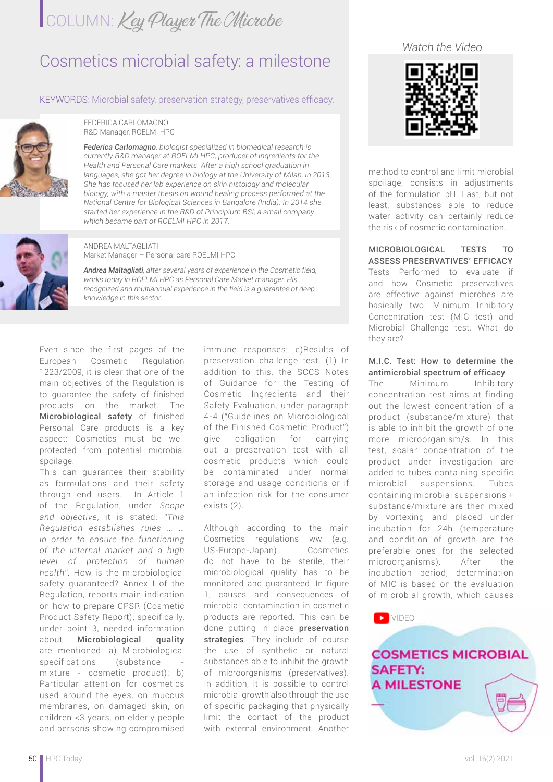## COLUMN: Key Player The Microbe

### Cosmetics microbial safety: a milestone

### KEYWORDS: Microbial safety, preservation strategy, preservatives efficacy.



FEDERICA CARLOMAGNO R&D Manager, ROELMI HPC

*Federica Carlomagno, biologist specialized in biomedical research is currently R&D manager at ROELMI HPC, producer of ingredients for the Health and Personal Care markets. After a high school graduation in*  languages, she got her degree in biology at the University of Milan, in 2013. *She has focused her lab experience on skin histology and molecular biology, with a master thesis on wound healing process performed at the National Centre for Biological Sciences in Bangalore (India). In 2014 she started her experience in the R&D of Principium BSI, a small company which became part of ROELMI HPC in 2017.*



ANDREA MALTAGLIATI Market Manager – Personal care ROELMI HPC

*Andrea Maltagliati, after several years of experience in the Cosmetic field, works today in ROELMI HPC as Personal Care Market manager. His recognized and multiannual experience in the field is a guarantee of deep knowledge in this sector.*

Even since the first pages of the European Cosmetic Regulation 1223/2009, it is clear that one of the main objectives of the Regulation is to guarantee the safety of finished products on the market. The Microbiological safety of finished Personal Care products is a key aspect: Cosmetics must be well protected from potential microbial spoilage.

This can guarantee their stability as formulations and their safety through end users. In Article 1 of the Regulation, under *Scope and objective*, it is stated: *"This Regulation establishes rules … … in order to ensure the functioning of the internal market and a high level of protection of human health".* How is the microbiological safety guaranteed? Annex I of the Regulation, reports main indication on how to prepare CPSR (Cosmetic Product Safety Report); specifically, under point 3, needed information about Microbiological quality are mentioned: a) Microbiological specifications (substance mixture - cosmetic product); b) Particular attention for cosmetics used around the eyes, on mucous membranes, on damaged skin, on children <3 years, on elderly people and persons showing compromised

immune responses; c)Results of preservation challenge test. (1) In addition to this, the SCCS Notes of Guidance for the Testing of Cosmetic Ingredients and their Safety Evaluation, under paragraph 4-4 ("Guidelines on Microbiological of the Finished Cosmetic Product") give obligation for carrying out a preservation test with all cosmetic products which could be contaminated under normal storage and usage conditions or if an infection risk for the consumer exists (2).

Although according to the main Cosmetics regulations ww (e.g. US-Europe-Japan) Cosmetics do not have to be sterile, their microbiological quality has to be monitored and guaranteed. In figure 1, causes and consequences of microbial contamination in cosmetic products are reported. This can be done putting in place preservation strategies. They include of course the use of synthetic or natural substances able to inhibit the growth of microorganisms (preservatives). In addition, it is possible to control microbial growth also through the use of specific packaging that physically limit the contact of the product with external environment. Another

*Watch the Video*



method to control and limit microbial spoilage, consists in adjustments of the formulation pH. Last, but not least, substances able to reduce water activity can certainly reduce the risk of cosmetic contamination.

MICROBIOLOGICAL TESTS TO ASSESS PRESERVATIVES' EFFICACY Tests Performed to evaluate if and how Cosmetic preservatives are effective against microbes are basically two: Minimum Inhibitory Concentration test (MIC test) and Microbial Challenge test. What do they are?

#### M.I.C. Test: How to determine the antimicrobial spectrum of efficacy

The Minimum Inhibitory concentration test aims at finding out the lowest concentration of a product (substance/mixture) that is able to inhibit the growth of one more microorganism/s. In this test, scalar concentration of the product under investigation are added to tubes containing specific microbial suspensions. Tubes containing microbial suspensions + substance/mixture are then mixed by vortexing and placed under incubation for 24h (temperature and condition of growth are the preferable ones for the selected microorganisms). After the incubation period, determination of MIC is based on the evaluation of microbial growth, which causes

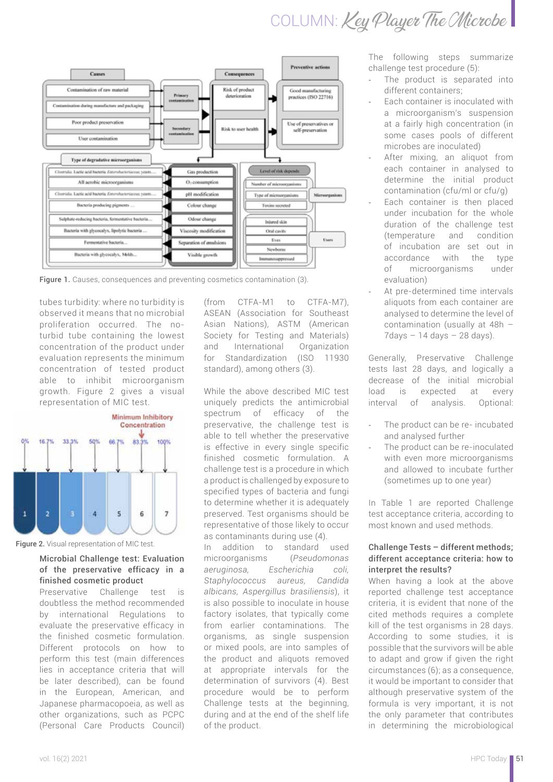COLUMN: Key Player The Microbe



Figure 1. Causes, consequences and preventing cosmetics contamination (3).

tubes turbidity: where no turbidity is observed it means that no microbial proliferation occurred. The noturbid tube containing the lowest concentration of the product under evaluation represents the minimum concentration of tested product able to inhibit microorganism growth. Figure 2 gives a visual representation of MIC test.



Figure 2. Visual representation of MIC test.

#### Microbial Challenge test: Evaluation of the preservative efficacy in a finished cosmetic product

Preservative Challenge test is doubtless the method recommended by international Regulations to evaluate the preservative efficacy in the finished cosmetic formulation. Different protocols on how to perform this test (main differences lies in acceptance criteria that will be later described), can be found in the European, American, and Japanese pharmacopoeia, as well as other organizations, such as PCPC (Personal Care Products Council)

(from CTFA-M1 to CTFA-M7), ASEAN (Association for Southeast Asian Nations), ASTM (American Society for Testing and Materials) and International Organization for Standardization (ISO 11930 standard), among others (3).

While the above described MIC test uniquely predicts the antimicrobial spectrum of efficacy of the preservative, the challenge test is able to tell whether the preservative is effective in every single specific finished cosmetic formulation. A challenge test is a procedure in which a product is challenged by exposure to specified types of bacteria and fungi to determine whether it is adequately preserved. Test organisms should be representative of those likely to occur as contaminants during use (4).

In addition to standard used microorganisms (*Pseudomonas aeruginosa, Escherichia coli, Staphylococcus aureus, Candida albicans, Aspergillus brasiliensis*), it is also possible to inoculate in house factory isolates, that typically come from earlier contaminations. The organisms, as single suspension or mixed pools, are into samples of the product and aliquots removed at appropriate intervals for the determination of survivors (4). Best procedure would be to perform Challenge tests at the beginning, during and at the end of the shelf life of the product.

The following steps summarize challenge test procedure (5):

- The product is separated into different containers;
- Each container is inoculated with a microorganism's suspension at a fairly high concentration (in some cases pools of different microbes are inoculated)
- After mixing, an aliquot from each container in analysed to determine the initial product contamination (cfu/ml or cfu/g)
- Fach container is then placed under incubation for the whole duration of the challenge test (temperature and condition of incubation are set out in accordance with the type of microorganisms under evaluation)
- At pre-determined time intervals aliquots from each container are analysed to determine the level of contamination (usually at 48h –  $7$ days  $-14$  days  $-28$  days).

Generally, Preservative Challenge tests last 28 days, and logically a decrease of the initial microbial load is expected at every interval of analysis. Optional:

- The product can be re- incubated and analysed further
- The product can be re-inoculated with even more microorganisms and allowed to incubate further (sometimes up to one year)

In Table 1 are reported Challenge test acceptance criteria, according to most known and used methods.

#### Challenge Tests – different methods; different acceptance criteria: how to interpret the results?

When having a look at the above reported challenge test acceptance criteria, it is evident that none of the cited methods requires a complete kill of the test organisms in 28 days. According to some studies, it is possible that the survivors will be able to adapt and grow if given the right circumstances (6); as a consequence, it would be important to consider that although preservative system of the formula is very important, it is not the only parameter that contributes in determining the microbiological